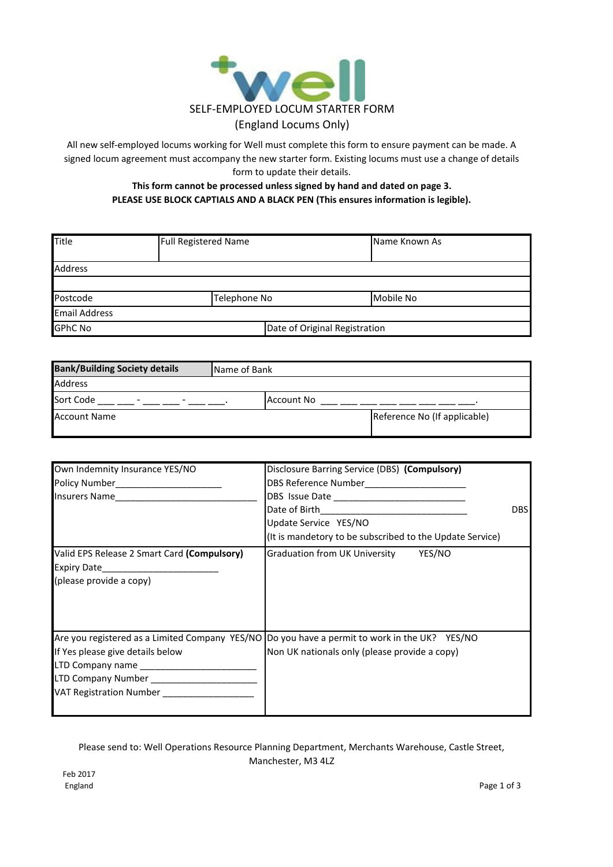

All new self-employed locums working for Well must complete this form to ensure payment can be made. A signed locum agreement must accompany the new starter form. Existing locums must use a change of details form to update their details.

## **This form cannot be processed unless signed by hand and dated on page 3. PLEASE USE BLOCK CAPTIALS AND A BLACK PEN (This ensures information is legible).**

| <b>Title</b>         | <b>Full Registered Name</b> |                               | <b>Name Known As</b> |
|----------------------|-----------------------------|-------------------------------|----------------------|
| <b>Address</b>       |                             |                               |                      |
|                      |                             |                               |                      |
| Postcode             | Telephone No                |                               | Mobile No            |
| <b>Email Address</b> |                             |                               |                      |
| <b>GPhC No</b>       |                             | Date of Original Registration |                      |

| <b>Bank/Building Society details</b>                              | Name of Bank |            |                              |  |
|-------------------------------------------------------------------|--------------|------------|------------------------------|--|
| Address                                                           |              |            |                              |  |
| Sort Code<br>$\overline{\phantom{0}}$<br>$\overline{\phantom{0}}$ |              | Account No |                              |  |
| Account Name                                                      |              |            | Reference No (If applicable) |  |

| Own Indemnity Insurance YES/NO                                                                                                | Disclosure Barring Service (DBS) (Compulsory)<br>DBS Reference Number____________________                                                       | <b>DBSI</b> |
|-------------------------------------------------------------------------------------------------------------------------------|-------------------------------------------------------------------------------------------------------------------------------------------------|-------------|
|                                                                                                                               | Update Service YES/NO<br>(It is mandetory to be subscribed to the Update Service)                                                               |             |
| Valid EPS Release 2 Smart Card (Compulsory)<br>(please provide a copy)                                                        | Graduation from UK University YES/NO                                                                                                            |             |
| If Yes please give details below<br>LTD Company Number ______________________<br>VAT Registration Number ____________________ | Are you registered as a Limited Company YES/NO  Do you have a permit to work in the UK? YES/NO<br>Non UK nationals only (please provide a copy) |             |

Please send to: Well Operations Resource Planning Department, Merchants Warehouse, Castle Street, Manchester, M3 4LZ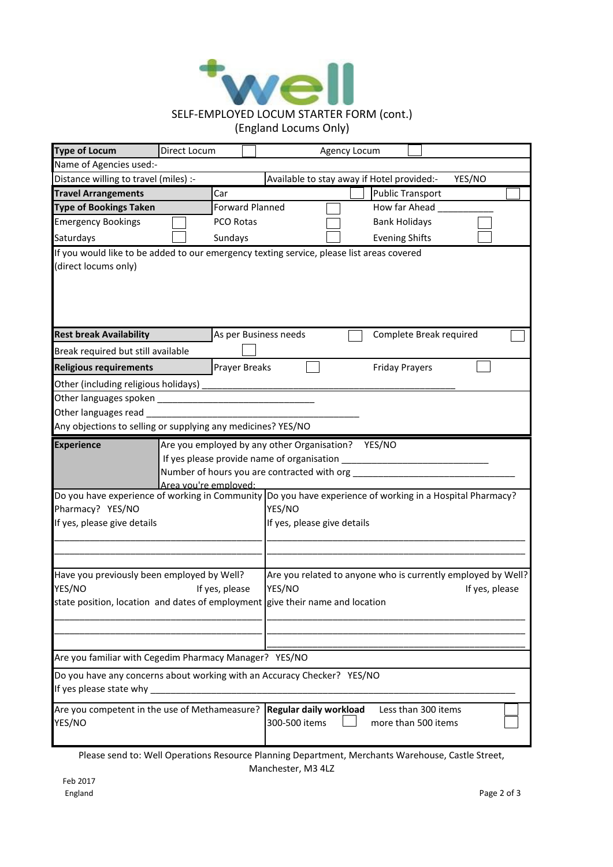

| <b>Type of Locum</b>                                                                                                                                    | Direct Locum                                                                                                                                                                  |                             |                                                                                | Agency Locum                               |  |
|---------------------------------------------------------------------------------------------------------------------------------------------------------|-------------------------------------------------------------------------------------------------------------------------------------------------------------------------------|-----------------------------|--------------------------------------------------------------------------------|--------------------------------------------|--|
| Name of Agencies used:-                                                                                                                                 |                                                                                                                                                                               |                             |                                                                                |                                            |  |
|                                                                                                                                                         | Distance willing to travel (miles) :-<br>Available to stay away if Hotel provided:-<br>YES/NO                                                                                 |                             |                                                                                |                                            |  |
| <b>Travel Arrangements</b>                                                                                                                              |                                                                                                                                                                               | Car                         |                                                                                | <b>Public Transport</b>                    |  |
| <b>Type of Bookings Taken</b>                                                                                                                           |                                                                                                                                                                               | Forward Planned             |                                                                                | How far Ahead                              |  |
| <b>Emergency Bookings</b>                                                                                                                               |                                                                                                                                                                               | PCO Rotas                   |                                                                                | <b>Bank Holidays</b>                       |  |
| Saturdays                                                                                                                                               |                                                                                                                                                                               | Sundays                     |                                                                                | <b>Evening Shifts</b>                      |  |
| If you would like to be added to our emergency texting service, please list areas covered                                                               |                                                                                                                                                                               |                             |                                                                                |                                            |  |
| (direct locums only)                                                                                                                                    |                                                                                                                                                                               |                             |                                                                                |                                            |  |
| <b>Rest break Availability</b>                                                                                                                          |                                                                                                                                                                               |                             | As per Business needs                                                          | Complete Break required                    |  |
| Break required but still available                                                                                                                      |                                                                                                                                                                               |                             |                                                                                |                                            |  |
| <b>Religious requirements</b>                                                                                                                           |                                                                                                                                                                               | <b>Prayer Breaks</b>        |                                                                                | <b>Friday Prayers</b>                      |  |
| Other (including religious holidays)                                                                                                                    |                                                                                                                                                                               |                             |                                                                                |                                            |  |
|                                                                                                                                                         |                                                                                                                                                                               |                             |                                                                                |                                            |  |
| Other languages read                                                                                                                                    |                                                                                                                                                                               |                             |                                                                                |                                            |  |
| Any objections to selling or supplying any medicines? YES/NO                                                                                            |                                                                                                                                                                               |                             |                                                                                |                                            |  |
| <b>Experience</b>                                                                                                                                       | Are you employed by any other Organisation? YES/NO<br>If yes please provide name of organisation ____<br>Number of hours you are contracted with org<br>Area you're employed: |                             |                                                                                |                                            |  |
| Do you have experience of working in Community   Do you have experience of working in a Hospital Pharmacy?                                              |                                                                                                                                                                               |                             |                                                                                |                                            |  |
| Pharmacy? YES/NO                                                                                                                                        |                                                                                                                                                                               | YES/NO                      |                                                                                |                                            |  |
| If yes, please give details                                                                                                                             |                                                                                                                                                                               | If yes, please give details |                                                                                |                                            |  |
| Have you previously been employed by Well?<br>YES/NO<br>If yes, please<br>state position, location and dates of employment give their name and location |                                                                                                                                                                               | YES/NO                      | Are you related to anyone who is currently employed by Well?<br>If yes, please |                                            |  |
|                                                                                                                                                         |                                                                                                                                                                               |                             |                                                                                |                                            |  |
|                                                                                                                                                         |                                                                                                                                                                               |                             |                                                                                |                                            |  |
| Are you familiar with Cegedim Pharmacy Manager? YES/NO                                                                                                  |                                                                                                                                                                               |                             |                                                                                |                                            |  |
| Do you have any concerns about working with an Accuracy Checker? YES/NO<br>If yes please state why                                                      |                                                                                                                                                                               |                             |                                                                                |                                            |  |
| Are you competent in the use of Methameasure?<br>YES/NO                                                                                                 |                                                                                                                                                                               |                             | Regular daily workload<br>300-500 items                                        | Less than 300 items<br>more than 500 items |  |

Please send to: Well Operations Resource Planning Department, Merchants Warehouse, Castle Street, Manchester, M3 4LZ